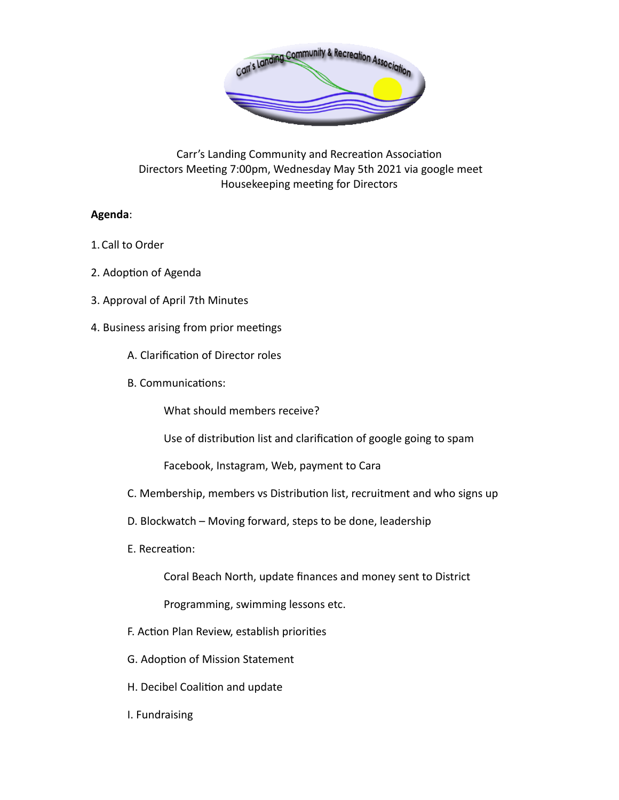

Carr's Landing Community and Recreation Association Directors Meeting 7:00pm, Wednesday May 5th 2021 via google meet Housekeeping meeting for Directors

## **Agenda**:

- 1.Call to Order
- 2. Adoption of Agenda
- 3. Approval of April 7th Minutes
- 4. Business arising from prior meetings
	- A. Clarification of Director roles
	- B. Communications:

What should members receive?

Use of distribution list and clarification of google going to spam

Facebook, Instagram, Web, payment to Cara

- C. Membership, members vs Distribution list, recruitment and who signs up
- D. Blockwatch Moving forward, steps to be done, leadership
- E. Recreation:

Coral Beach North, update finances and money sent to District

Programming, swimming lessons etc.

- F. Action Plan Review, establish priorities
- G. Adoption of Mission Statement
- H. Decibel Coalition and update
- I. Fundraising